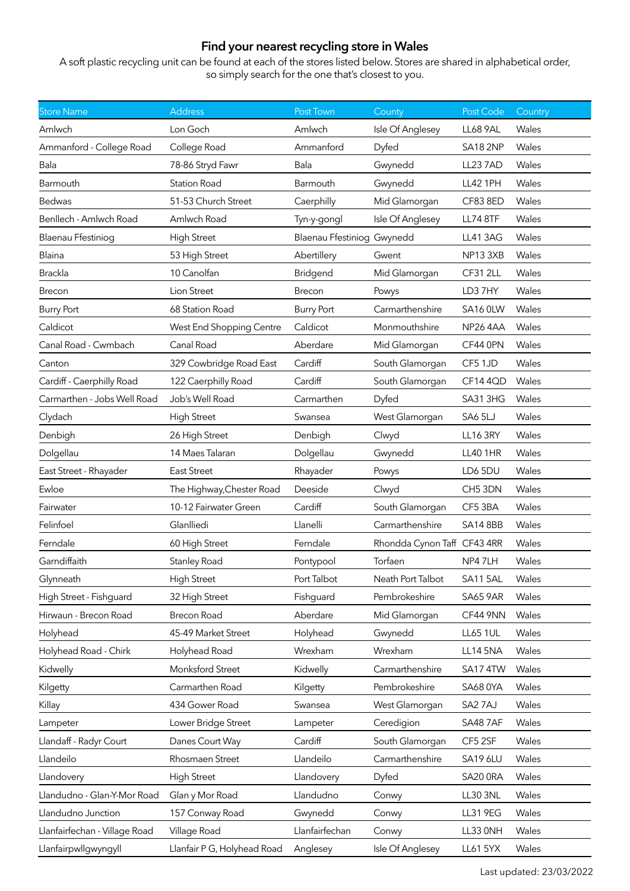## **Find your nearest recycling store in Wales**

A soft plastic recycling unit can be found at each of the stores listed below. Stores are shared in alphabetical order, so simply search for the one that's closest to you.

| <b>Store Name</b>             | <b>Address</b>            | Post Town                  | County                      | Post Code       | Country |
|-------------------------------|---------------------------|----------------------------|-----------------------------|-----------------|---------|
| Amlwch                        | Lon Goch                  | Amlwch                     | Isle Of Anglesey            | <b>LL68 9AL</b> | Wales   |
| Ammanford - College Road      | College Road              | Ammanford                  | Dyfed                       | <b>SA18 2NP</b> | Wales   |
| Bala                          | 78-86 Stryd Fawr          | Bala                       | Gwynedd                     | <b>LL23 7AD</b> | Wales   |
| Barmouth                      | <b>Station Road</b>       | Barmouth                   | Gwynedd                     | <b>LL42 1PH</b> | Wales   |
| <b>Bedwas</b>                 | 51-53 Church Street       | Caerphilly                 | Mid Glamorgan               | CF83 8ED        | Wales   |
| Benllech - Amlwch Road        | Amlwch Road               | Tyn-y-gongl                | Isle Of Anglesey            | <b>LL74 8TF</b> | Wales   |
| Blaenau Ffestiniog            | <b>High Street</b>        | Blaenau Ffestiniog Gwynedd |                             | <b>LL41 3AG</b> | Wales   |
| Blaina                        | 53 High Street            | Abertillery                | Gwent                       | NP133XB         | Wales   |
| Brackla                       | 10 Canolfan               | Bridgend                   | Mid Glamorgan               | <b>CF31 2LL</b> | Wales   |
| Brecon                        | Lion Street               | Brecon                     | Powys                       | LD37HY          | Wales   |
| <b>Burry Port</b>             | 68 Station Road           | <b>Burry Port</b>          | Carmarthenshire             | SA16 OLW        | Wales   |
| Caldicot                      | West End Shopping Centre  | Caldicot                   | Monmouthshire               | <b>NP26 4AA</b> | Wales   |
| Canal Road - Cwmbach          | Canal Road                | Aberdare                   | Mid Glamorgan               | CF44 0PN        | Wales   |
| Canton                        | 329 Cowbridge Road East   | Cardiff                    | South Glamorgan             | CF5 1JD         | Wales   |
| Cardiff - Caerphilly Road     | 122 Caerphilly Road       | Cardiff                    | South Glamorgan             | CF14 4QD        | Wales   |
| Carmarthen - Jobs Well Road   | Job's Well Road           | Carmarthen                 | Dyfed                       | SA31 3HG        | Wales   |
| Clydach                       | <b>High Street</b>        | Swansea                    | West Glamorgan              | SA65LJ          | Wales   |
| Denbigh                       | 26 High Street            | Denbigh                    | Clwyd                       | <b>LL16 3RY</b> | Wales   |
| Dolgellau                     | 14 Maes Talaran           | Dolgellau                  | Gwynedd                     | <b>LL40 1HR</b> | Wales   |
| East Street - Rhayader        | <b>East Street</b>        | Rhayader                   | Powys                       | LD6 5DU         | Wales   |
| Ewloe                         | The Highway, Chester Road | Deeside                    | Clwyd                       | CH5 3DN         | Wales   |
| Fairwater                     | 10-12 Fairwater Green     | Cardiff                    | South Glamorgan             | CF5 3BA         | Wales   |
| Felinfoel                     | Glanlliedi                | Llanelli                   | Carmarthenshire             | <b>SA14 8BB</b> | Wales   |
| Ferndale                      | 60 High Street            | Ferndale                   | Rhondda Cynon Taff CF43 4RR |                 | Wales   |
| Garndiffaith                  | Stanley Road              | Pontypool                  | Torfaen                     | NP47LH          | Wales   |
| Glynneath                     |                           |                            |                             |                 |         |
|                               | <b>High Street</b>        | Port Talbot                | Neath Port Talbot           | SA115AL         | Wales   |
| High Street - Fishguard       | 32 High Street            | Fishguard                  | Pembrokeshire               | <b>SA65 9AR</b> | Wales   |
| Hirwaun - Brecon Road         | <b>Brecon Road</b>        | Aberdare                   | Mid Glamorgan               | CF44 9NN        | Wales   |
| Holyhead                      | 45-49 Market Street       | Holyhead                   | Gwynedd                     | <b>LL65 1UL</b> | Wales   |
| Holyhead Road - Chirk         | Holyhead Road             | Wrexham                    | Wrexham                     | <b>LL14 5NA</b> | Wales   |
| Kidwelly                      | Monksford Street          | Kidwelly                   | Carmarthenshire             | SA17 4TW        | Wales   |
| Kilgetty                      | Carmarthen Road           | Kilgetty                   | Pembrokeshire               | <b>SA68 0YA</b> | Wales   |
| Killay                        | 434 Gower Road            | Swansea                    | West Glamorgan              | SA27AJ          | Wales   |
| Lampeter                      | Lower Bridge Street       | Lampeter                   | Ceredigion                  | SA487AF         | Wales   |
| Llandaff - Radyr Court        | Danes Court Way           | Cardiff                    | South Glamorgan             | CF5 2SF         | Wales   |
| Llandeilo                     | Rhosmaen Street           | Llandeilo                  | Carmarthenshire             | <b>SA19 6LU</b> | Wales   |
| Llandovery                    | <b>High Street</b>        | Llandovery                 | Dyfed                       | SA20 ORA        | Wales   |
| Llandudno - Glan-Y-Mor Road   | Glan y Mor Road           | Llandudno                  | Conwy                       | <b>LL30 3NL</b> | Wales   |
| Llandudno Junction            | 157 Conway Road           | Gwynedd                    | Conwy                       | <b>LL31 9EG</b> | Wales   |
| Llanfairfechan - Village Road | Village Road              | Llanfairfechan             | Conwy                       | LL33 ONH        | Wales   |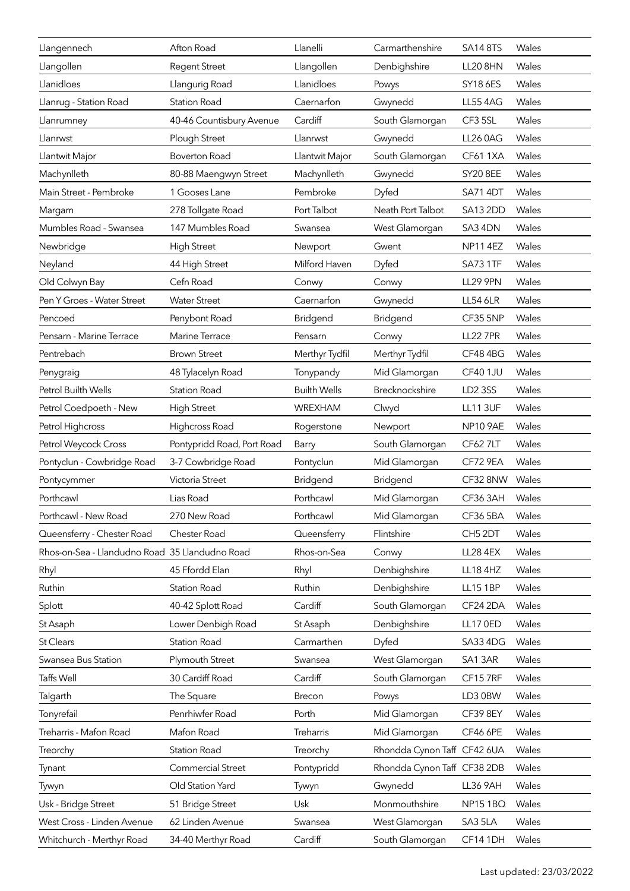| Llangennech                                    | Afton Road                 | Llanelli            | Carmarthenshire             | <b>SA14 8TS</b> | Wales |
|------------------------------------------------|----------------------------|---------------------|-----------------------------|-----------------|-------|
| Llangollen                                     | <b>Regent Street</b>       | Llangollen          | Denbighshire                | <b>LL20 8HN</b> | Wales |
| Llanidloes                                     | Llangurig Road             | Llanidloes          | Powys                       | SY18 6ES        | Wales |
| Llanrug - Station Road                         | <b>Station Road</b>        | Caernarfon          | Gwynedd                     | <b>LL55 4AG</b> | Wales |
| Llanrumney                                     | 40-46 Countisbury Avenue   | Cardiff             | South Glamorgan             | CF3 5SL         | Wales |
| Llanrwst                                       | Plough Street              | Llanrwst            | Gwynedd                     | <b>LL26 0AG</b> | Wales |
| Llantwit Major                                 | <b>Boverton Road</b>       | Llantwit Major      | South Glamorgan             | <b>CF61 1XA</b> | Wales |
| Machynlleth                                    | 80-88 Maengwyn Street      | Machynlleth         | Gwynedd                     | <b>SY20 8EE</b> | Wales |
| Main Street - Pembroke                         | 1 Gooses Lane              | Pembroke            | Dyfed                       | SA714DT         | Wales |
| Margam                                         | 278 Tollgate Road          | Port Talbot         | Neath Port Talbot           | <b>SA13 2DD</b> | Wales |
| Mumbles Road - Swansea                         | 147 Mumbles Road           | Swansea             | West Glamorgan              | SA3 4DN         | Wales |
| Newbridge                                      | <b>High Street</b>         | Newport             | Gwent                       | <b>NP11 4EZ</b> | Wales |
| Neyland                                        | 44 High Street             | Milford Haven       | Dyfed                       | <b>SA73 1TF</b> | Wales |
| Old Colwyn Bay                                 | Cefn Road                  | Conwy               | Conwy                       | <b>LL29 9PN</b> | Wales |
| Pen Y Groes - Water Street                     | <b>Water Street</b>        | Caernarfon          | Gwynedd                     | <b>LL54 6LR</b> | Wales |
| Pencoed                                        | Penybont Road              | Bridgend            | Bridgend                    | CF35 5NP        | Wales |
| Pensarn - Marine Terrace                       | Marine Terrace             | Pensarn             | Conwy                       | <b>LL22 7PR</b> | Wales |
| Pentrebach                                     | <b>Brown Street</b>        | Merthyr Tydfil      | Merthyr Tydfil              | CF48 4BG        | Wales |
| Penygraig                                      | 48 Tylacelyn Road          | Tonypandy           | Mid Glamorgan               | <b>CF40 1JU</b> | Wales |
| Petrol Builth Wells                            | <b>Station Road</b>        | <b>Builth Wells</b> | Brecknockshire              | LD2 3SS         | Wales |
| Petrol Coedpoeth - New                         | <b>High Street</b>         | <b>WREXHAM</b>      | Clwyd                       | <b>LL11 3UF</b> | Wales |
| Petrol Highcross                               | Highcross Road             | Rogerstone          | Newport                     | <b>NP10 9AE</b> | Wales |
| Petrol Weycock Cross                           | Pontypridd Road, Port Road | Barry               | South Glamorgan             | <b>CF62 7LT</b> | Wales |
| Pontyclun - Cowbridge Road                     | 3-7 Cowbridge Road         | Pontyclun           | Mid Glamorgan               | <b>CF72 9EA</b> | Wales |
| Pontycymmer                                    | Victoria Street            | Bridgend            | <b>Bridgend</b>             | CF328NW         | Wales |
| Porthcawl                                      | Lias Road                  | Porthcawl           | Mid Glamorgan               | CF363AH         | Wales |
| Porthcawl - New Road                           | 270 New Road               | Porthcawl           | Mid Glamorgan               | CF365BA         | Wales |
| Queensferry - Chester Road                     | Chester Road               | Queensferry         | Flintshire                  | CH5 2DT         | Wales |
| Rhos-on-Sea - Llandudno Road 35 Llandudno Road |                            | Rhos-on-Sea         | Conwy                       | <b>LL28 4EX</b> | Wales |
| Rhyl                                           | 45 Ffordd Elan             | Rhyl                | Denbighshire                | <b>LL18 4HZ</b> | Wales |
| Ruthin                                         | <b>Station Road</b>        | Ruthin              | Denbighshire                | <b>LL15 1BP</b> | Wales |
| Splott                                         | 40-42 Splott Road          | Cardiff             | South Glamorgan             | CF24 2DA        | Wales |
| St Asaph                                       | Lower Denbigh Road         | St Asaph            | Denbighshire                | <b>LL17 0ED</b> | Wales |
| <b>St Clears</b>                               | <b>Station Road</b>        | Carmarthen          | Dyfed                       | SA33 4DG        | Wales |
| Swansea Bus Station                            | Plymouth Street            | Swansea             | West Glamorgan              | SA13AR          | Wales |
| Taffs Well                                     | 30 Cardiff Road            | Cardiff             | South Glamorgan             | CF157RF         | Wales |
| Talgarth                                       | The Square                 | Brecon              | Powys                       | LD3 0BW         | Wales |
| Tonyrefail                                     | Penrhiwfer Road            | Porth               | Mid Glamorgan               | CF39 8EY        | Wales |
| Treharris - Mafon Road                         | Mafon Road                 | Treharris           | Mid Glamorgan               | <b>CF46 6PE</b> | Wales |
| Treorchy                                       | <b>Station Road</b>        | Treorchy            | Rhondda Cynon Taff CF42 6UA |                 | Wales |
| Tynant                                         | <b>Commercial Street</b>   | Pontypridd          | Rhondda Cynon Taff CF38 2DB |                 | Wales |
| Tywyn                                          | Old Station Yard           | Tywyn               | Gwynedd                     | <b>LL36 9AH</b> | Wales |
| Usk - Bridge Street                            | 51 Bridge Street           | Usk                 | Monmouthshire               | <b>NP15 1BQ</b> | Wales |
| West Cross - Linden Avenue                     | 62 Linden Avenue           | Swansea             | West Glamorgan              | SA35LA          | Wales |
| Whitchurch - Merthyr Road                      | 34-40 Merthyr Road         | Cardiff             | South Glamorgan             | CF141DH         | Wales |